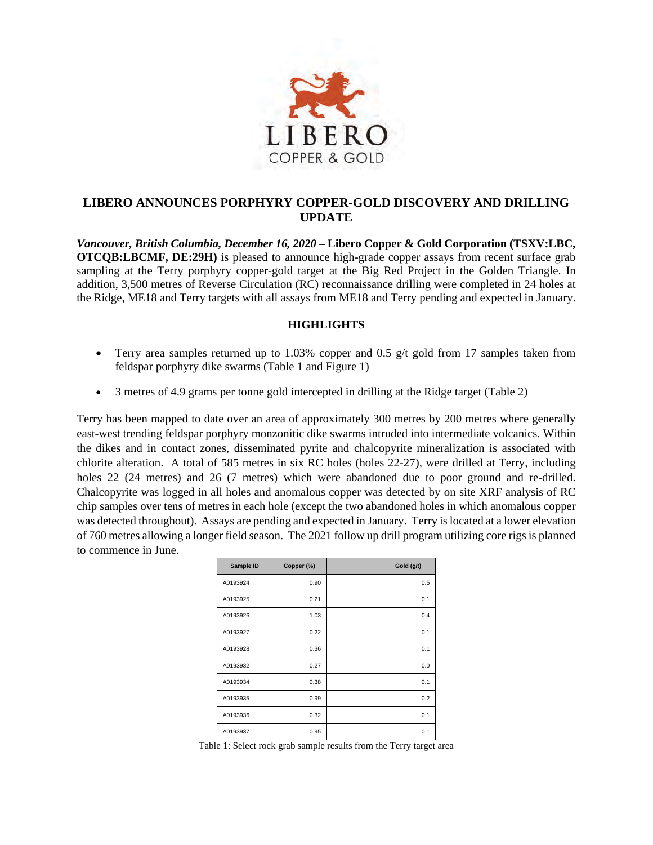

# **LIBERO ANNOUNCES PORPHYRY COPPER-GOLD DISCOVERY AND DRILLING UPDATE**

*Vancouver, British Columbia, December 16, 2020* **– Libero Copper & Gold Corporation (TSXV:LBC, OTCQB:LBCMF, DE:29H)** is pleased to announce high-grade copper assays from recent surface grab sampling at the Terry porphyry copper-gold target at the Big Red Project in the Golden Triangle. In addition, 3,500 metres of Reverse Circulation (RC) reconnaissance drilling were completed in 24 holes at the Ridge, ME18 and Terry targets with all assays from ME18 and Terry pending and expected in January.

## **HIGHLIGHTS**

- Terry area samples returned up to 1.03% copper and 0.5  $g/t$  gold from 17 samples taken from feldspar porphyry dike swarms (Table 1 and Figure 1)
- 3 metres of 4.9 grams per tonne gold intercepted in drilling at the Ridge target (Table 2)

Terry has been mapped to date over an area of approximately 300 metres by 200 metres where generally east-west trending feldspar porphyry monzonitic dike swarms intruded into intermediate volcanics. Within the dikes and in contact zones, disseminated pyrite and chalcopyrite mineralization is associated with chlorite alteration. A total of 585 metres in six RC holes (holes 22-27), were drilled at Terry, including holes 22 (24 metres) and 26 (7 metres) which were abandoned due to poor ground and re-drilled. Chalcopyrite was logged in all holes and anomalous copper was detected by on site XRF analysis of RC chip samples over tens of metres in each hole (except the two abandoned holes in which anomalous copper was detected throughout). Assays are pending and expected in January. Terry is located at a lower elevation of 760 metres allowing a longer field season. The 2021 follow up drill program utilizing core rigs is planned to commence in June.

| Sample ID | Copper (%) | Gold (g/t) |
|-----------|------------|------------|
| A0193924  | 0.90       | 0.5        |
| A0193925  | 0.21       | 0.1        |
| A0193926  | 1.03       | 0.4        |
| A0193927  | 0.22       | 0.1        |
| A0193928  | 0.36       | 0.1        |
| A0193932  | 0.27       | 0.0        |
| A0193934  | 0.38       | 0.1        |
| A0193935  | 0.99       | 0.2        |
| A0193936  | 0.32       | 0.1        |
| A0193937  | 0.95       | 0.1        |

Table 1: Select rock grab sample results from the Terry target area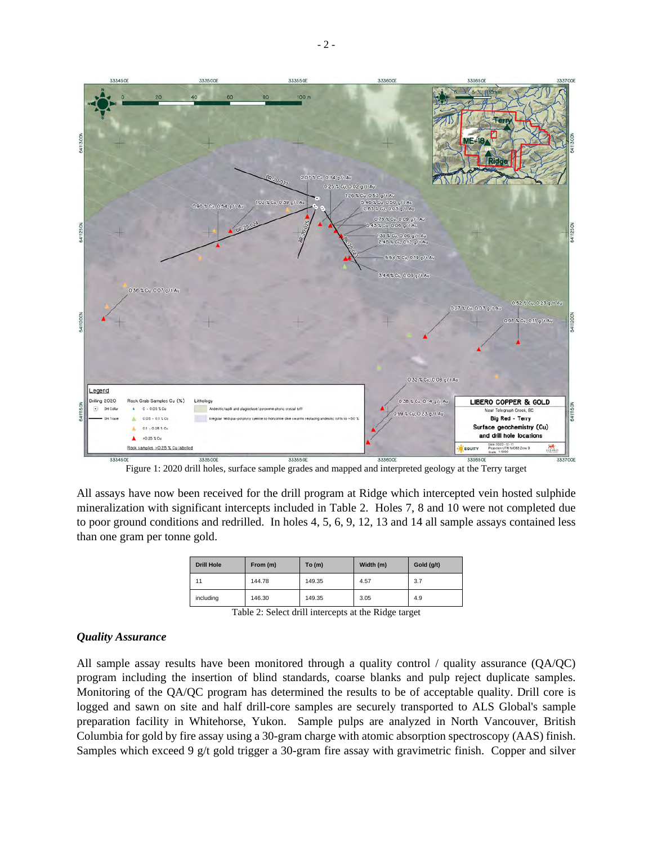

Figure 1: 2020 drill holes, surface sample grades and mapped and interpreted geology at the Terry target

All assays have now been received for the drill program at Ridge which intercepted vein hosted sulphide mineralization with significant intercepts included in Table 2. Holes 7, 8 and 10 were not completed due to poor ground conditions and redrilled. In holes 4, 5, 6, 9, 12, 13 and 14 all sample assays contained less than one gram per tonne gold.

| <b>Drill Hole</b>    | From (m) | To $(m)$ | Width (m) | Gold (g/t) |
|----------------------|----------|----------|-----------|------------|
| 11                   | 144.78   | 149.35   | 4.57      | 3.7        |
| including            | 146.30   | 149.35   | 3.05      | 4.9        |
| - --- -<br>_<br>$ -$ |          |          |           |            |

Table 2: Select drill intercepts at the Ridge target

## *Quality Assurance*

All sample assay results have been monitored through a quality control / quality assurance (QA/QC) program including the insertion of blind standards, coarse blanks and pulp reject duplicate samples. Monitoring of the QA/QC program has determined the results to be of acceptable quality. Drill core is logged and sawn on site and half drill-core samples are securely transported to ALS Global's sample preparation facility in Whitehorse, Yukon. Sample pulps are analyzed in North Vancouver, British Columbia for gold by fire assay using a 30-gram charge with atomic absorption spectroscopy (AAS) finish. Samples which exceed 9 g/t gold trigger a 30-gram fire assay with gravimetric finish. Copper and silver